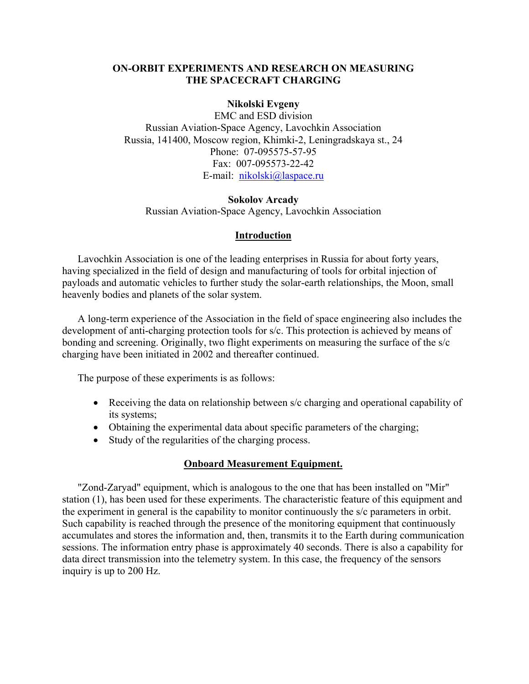### **ON-ORBIT EXPERIMENTS AND RESEARCH ON MEASURING THE SPACECRAFT CHARGING**

### **Nikolski Evgeny**

EMC and ESD division Russian Aviation-Space Agency, Lavochkin Association Russia, 141400, Moscow region, Khimki-2, Leningradskaya st., 24 Phone: 07-095575-57-95 Fax: 007-095573-22-42 E-mail: [nikolski@laspace.ru](mailto:nikolski@laspace.ru)

#### **Sokolov Arcady**

Russian Aviation-Space Agency, Lavochkin Association

### **Introduction**

Lavochkin Association is one of the leading enterprises in Russia for about forty years, having specialized in the field of design and manufacturing of tools for orbital injection of payloads and automatic vehicles to further study the solar-earth relationships, the Moon, small heavenly bodies and planets of the solar system.

A long-term experience of the Association in the field of space engineering also includes the development of anti-charging protection tools for s/c. This protection is achieved by means of bonding and screening. Originally, two flight experiments on measuring the surface of the s/c charging have been initiated in 2002 and thereafter continued.

The purpose of these experiments is as follows:

- Receiving the data on relationship between s/c charging and operational capability of its systems;
- Obtaining the experimental data about specific parameters of the charging;
- Study of the regularities of the charging process.

### **Onboard Measurement Equipment.**

"Zond-Zaryad" equipment, which is analogous to the one that has been installed on "Mir" station (1), has been used for these experiments. The characteristic feature of this equipment and the experiment in general is the capability to monitor continuously the s/c parameters in orbit. Such capability is reached through the presence of the monitoring equipment that continuously accumulates and stores the information and, then, transmits it to the Earth during communication sessions. The information entry phase is approximately 40 seconds. There is also a capability for data direct transmission into the telemetry system. In this case, the frequency of the sensors inquiry is up to 200 Hz.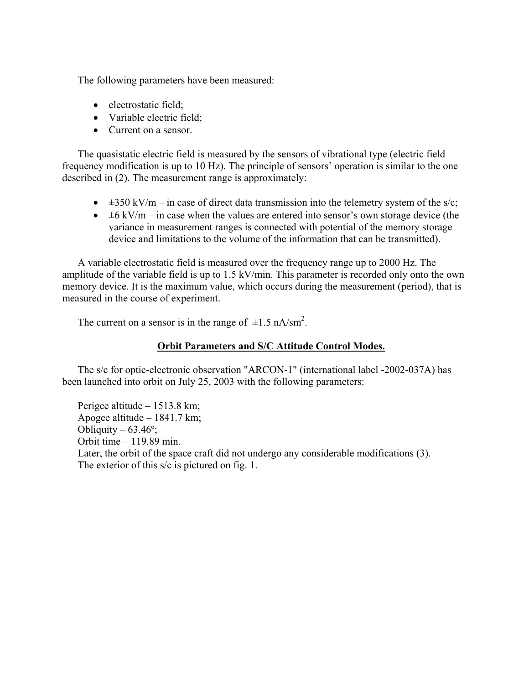The following parameters have been measured:

- electrostatic field;
- Variable electric field;
- Current on a sensor

The quasistatic electric field is measured by the sensors of vibrational type (electric field frequency modification is up to 10 Hz). The principle of sensors' operation is similar to the one described in (2). The measurement range is approximately:

- $\pm 350 \text{ kV/m} \text{in case of direct data transmission into the telemetry system of the s/c;}$
- $\bullet$   $\pm 6$  kV/m in case when the values are entered into sensor's own storage device (the variance in measurement ranges is connected with potential of the memory storage device and limitations to the volume of the information that can be transmitted).

A variable electrostatic field is measured over the frequency range up to 2000 Hz. The amplitude of the variable field is up to 1.5 kV/min. This parameter is recorded only onto the own memory device. It is the maximum value, which occurs during the measurement (period), that is measured in the course of experiment.

The current on a sensor is in the range of  $\pm 1.5$  nA/sm<sup>2</sup>.

## **Orbit Parameters and S/C Attitude Control Modes.**

The s/c for optic-electronic observation "ARCON-1" (international label -2002-037A) has been launched into orbit on July 25, 2003 with the following parameters:

Perigee altitude – 1513.8 km; Apogee altitude – 1841.7 km; Obliquity –  $63.46^\circ$ ; Orbit time – 119.89 min. Later, the orbit of the space craft did not undergo any considerable modifications (3). The exterior of this s/c is pictured on fig. 1.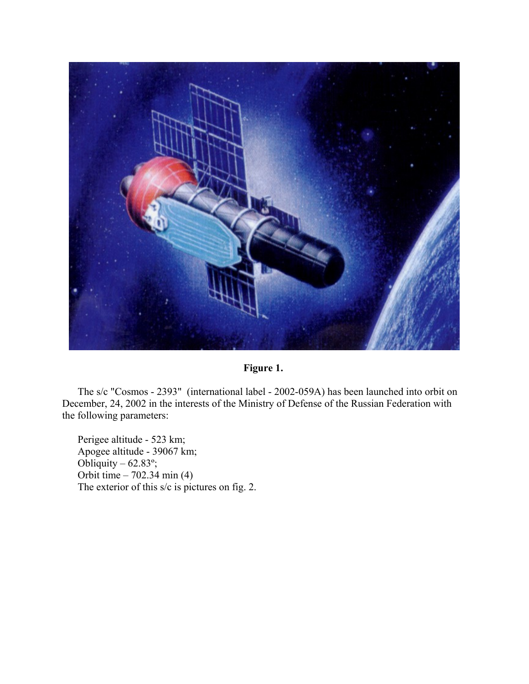

# **Figure 1.**

The s/c "Cosmos - 2393" (international label - 2002-059A) has been launched into orbit on December, 24, 2002 in the interests of the Ministry of Defense of the Russian Federation with the following parameters:

Perigee altitude - 523 km; Apogee altitude - 39067 km; Obliquity –  $62.83^\circ$ ; Orbit time – 702.34 min (4) The exterior of this s/c is pictures on fig. 2.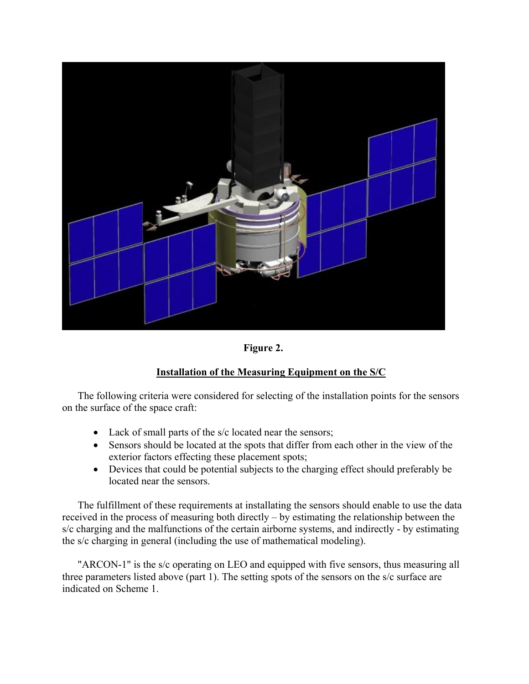

**Figure 2.** 

# **Installation of the Measuring Equipment on the S/C**

The following criteria were considered for selecting of the installation points for the sensors on the surface of the space craft:

- Lack of small parts of the s/c located near the sensors;
- Sensors should be located at the spots that differ from each other in the view of the exterior factors effecting these placement spots;
- Devices that could be potential subjects to the charging effect should preferably be located near the sensors.

The fulfillment of these requirements at installating the sensors should enable to use the data received in the process of measuring both directly – by estimating the relationship between the s/c charging and the malfunctions of the certain airborne systems, and indirectly - by estimating the s/c charging in general (including the use of mathematical modeling).

"ARCON-1" is the s/c operating on LEO and equipped with five sensors, thus measuring all three parameters listed above (part 1). The setting spots of the sensors on the s/c surface are indicated on Scheme 1.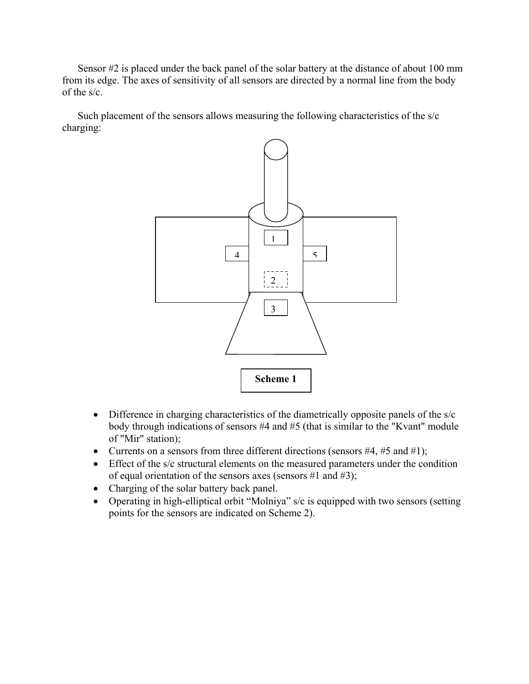Sensor #2 is placed under the back panel of the solar battery at the distance of about 100 mm from its edge. The axes of sensitivity of all sensors are directed by a normal line from the body of the s/c.

Such placement of the sensors allows measuring the following characteristics of the s/c charging:



- Difference in charging characteristics of the diametrically opposite panels of the s/c body through indications of sensors #4 and #5 (that is similar to the "Kvant" module of "Mir" station);
- Currents on a sensors from three different directions (sensors  $#4, #5$  and  $#1$ );
- Effect of the s/c structural elements on the measured parameters under the condition of equal orientation of the sensors axes (sensors  $#1$  and  $#3$ );
- Charging of the solar battery back panel.
- Operating in high-elliptical orbit "Molniya" s/c is equipped with two sensors (setting points for the sensors are indicated on Scheme 2).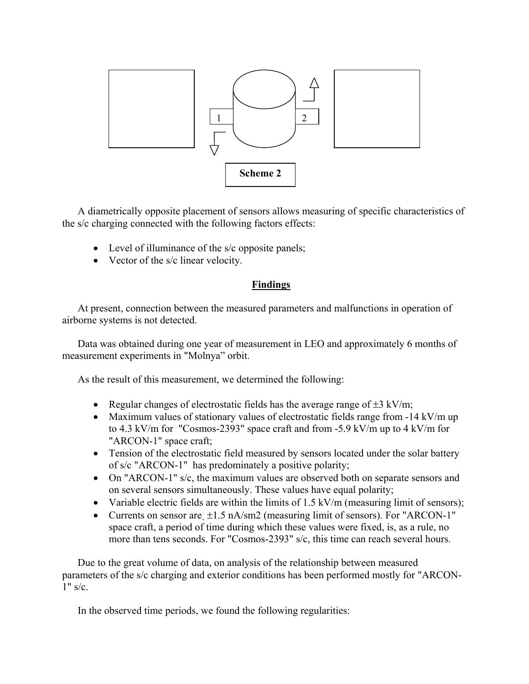

A diametrically opposite placement of sensors allows measuring of specific characteristics of the s/c charging connected with the following factors effects:

- Level of illuminance of the s/c opposite panels;
- Vector of the s/c linear velocity.

### **Findings**

At present, connection between the measured parameters and malfunctions in operation of airborne systems is not detected.

Data was obtained during one year of measurement in LEO and approximately 6 months of measurement experiments in "Molnya" orbit.

As the result of this measurement, we determined the following:

- Regular changes of electrostatic fields has the average range of  $\pm 3$  kV/m;
- Maximum values of stationary values of electrostatic fields range from -14 kV/m up to 4.3 kV/m for "Cosmos-2393" space craft and from -5.9 kV/m up to 4 kV/m for "ARCON-1" space craft;
- Tension of the electrostatic field measured by sensors located under the solar battery of s/c "ARCON-1" has predominately a positive polarity;
- On "ARCON-1" s/c, the maximum values are observed both on separate sensors and on several sensors simultaneously. These values have equal polarity;
- Variable electric fields are within the limits of 1.5 kV/m (measuring limit of sensors);
- Currents on sensor are  $\pm 1.5$  nA/sm2 (measuring limit of sensors). For "ARCON-1" space craft, a period of time during which these values were fixed, is, as a rule, no more than tens seconds. For "Cosmos-2393" s/c, this time can reach several hours.

Due to the great volume of data, on analysis of the relationship between measured parameters of the s/c charging and exterior conditions has been performed mostly for "ARCON- $1"$  s/c.

In the observed time periods, we found the following regularities: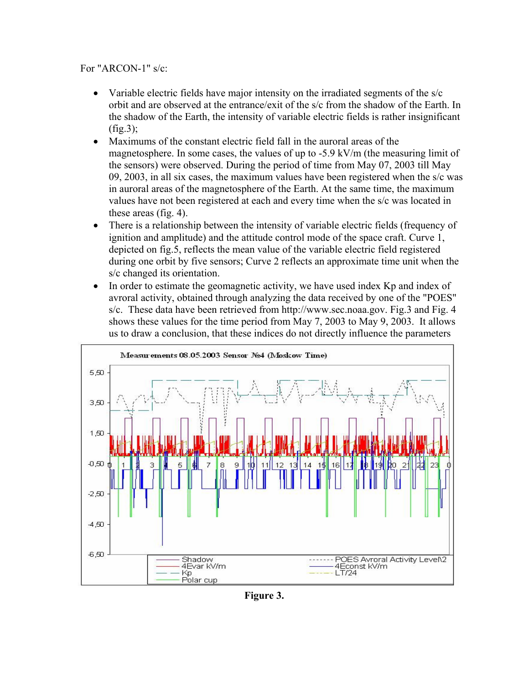## For "ARCON-1" s/c:

- Variable electric fields have major intensity on the irradiated segments of the s/c orbit and are observed at the entrance/exit of the s/c from the shadow of the Earth. In the shadow of the Earth, the intensity of variable electric fields is rather insignificant  $(fig.3)$ ;
- Maximums of the constant electric field fall in the auroral areas of the magnetosphere. In some cases, the values of up to -5.9 kV/m (the measuring limit of the sensors) were observed. During the period of time from May 07, 2003 till May 09, 2003, in all six cases, the maximum values have been registered when the s/c was in auroral areas of the magnetosphere of the Earth. At the same time, the maximum values have not been registered at each and every time when the s/c was located in these areas (fig. 4).
- There is a relationship between the intensity of variable electric fields (frequency of ignition and amplitude) and the attitude control mode of the space craft. Curve 1, depicted on fig.5, reflects the mean value of the variable electric field registered during one orbit by five sensors; Curve 2 reflects an approximate time unit when the s/c changed its orientation.
- In order to estimate the geomagnetic activity, we have used index Kp and index of avroral activity, obtained through analyzing the data received by one of the "POES" s/c. These data have been retrieved from http://www.sec.noaa.gov. Fig.3 and Fig. 4 shows these values for the time period from May 7, 2003 to May 9, 2003. It allows us to draw a conclusion, that these indices do not directly influence the parameters



**Figure 3.**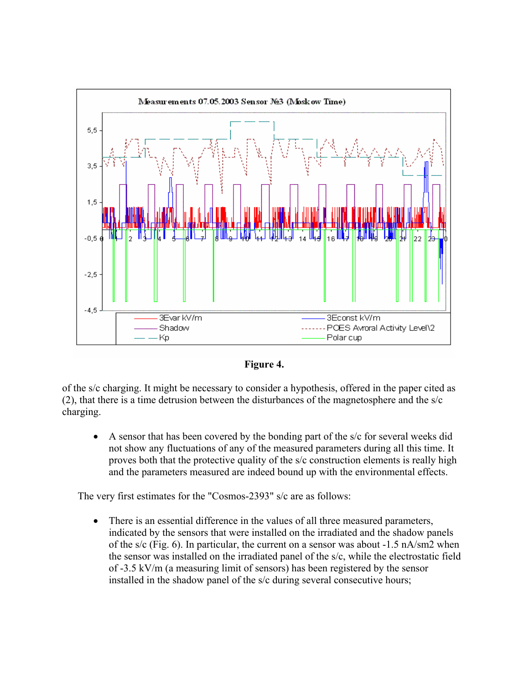



of the s/c charging. It might be necessary to consider a hypothesis, offered in the paper cited as (2), that there is a time detrusion between the disturbances of the magnetosphere and the s/c charging.

• A sensor that has been covered by the bonding part of the s/c for several weeks did not show any fluctuations of any of the measured parameters during all this time. It proves both that the protective quality of the s/c construction elements is really high and the parameters measured are indeed bound up with the environmental effects.

The very first estimates for the "Cosmos-2393" s/c are as follows:

• There is an essential difference in the values of all three measured parameters, indicated by the sensors that were installed on the irradiated and the shadow panels of the s/c (Fig. 6). In particular, the current on a sensor was about  $-1.5$  nA/sm2 when the sensor was installed on the irradiated panel of the s/c, while the electrostatic field of -3.5 kV/m (a measuring limit of sensors) has been registered by the sensor installed in the shadow panel of the s/c during several consecutive hours;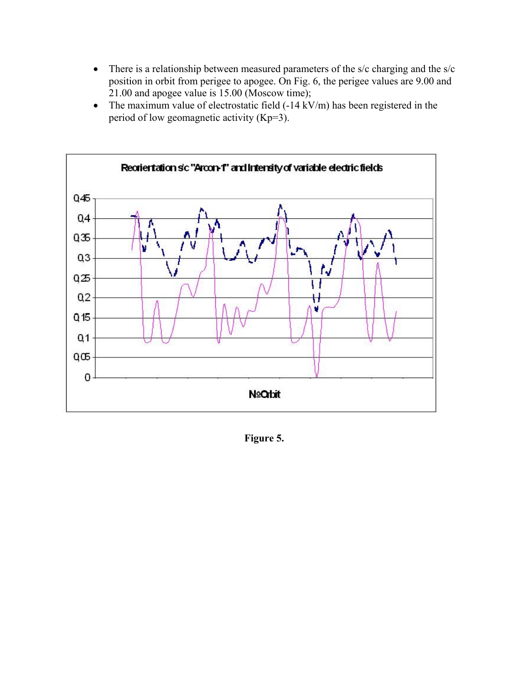- There is a relationship between measured parameters of the s/c charging and the s/c position in orbit from perigee to apogee. On Fig. 6, the perigee values are 9.00 and 21.00 and apogee value is 15.00 (Moscow time);
- The maximum value of electrostatic field (-14 kV/m) has been registered in the period of low geomagnetic activity (Kp=3).



**Figure 5.**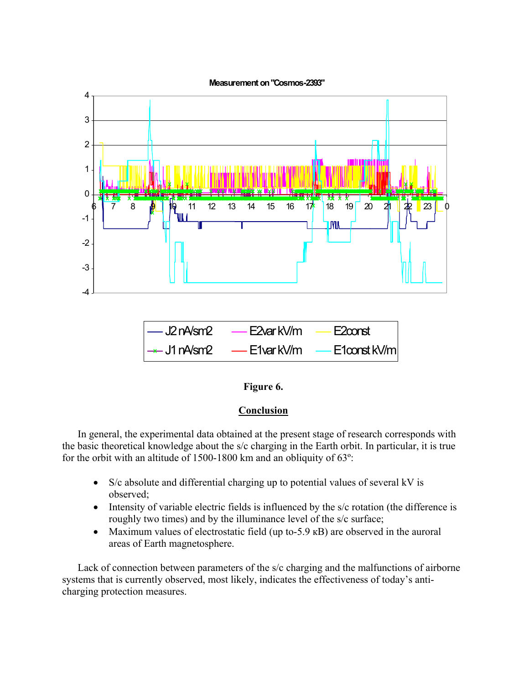

| $]-$ J2 nA/sm2          | — E2var kV/m | $-$ E2 $\alpha$ nst |
|-------------------------|--------------|---------------------|
| $\rightarrow$ J1 nA/sm2 | — E1var kV/m | $-$ E1const kV/m    |

## **Figure 6.**

## **Conclusion**

In general, the experimental data obtained at the present stage of research corresponds with the basic theoretical knowledge about the s/c charging in the Earth orbit. In particular, it is true for the orbit with an altitude of 1500-1800 km and an obliquity of 63º:

- S/c absolute and differential charging up to potential values of several kV is observed;
- Intensity of variable electric fields is influenced by the s/c rotation (the difference is roughly two times) and by the illuminance level of the s/c surface;
- Maximum values of electrostatic field (up to-5.9 kB) are observed in the auroral areas of Earth magnetosphere.

Lack of connection between parameters of the s/c charging and the malfunctions of airborne systems that is currently observed, most likely, indicates the effectiveness of today's anticharging protection measures.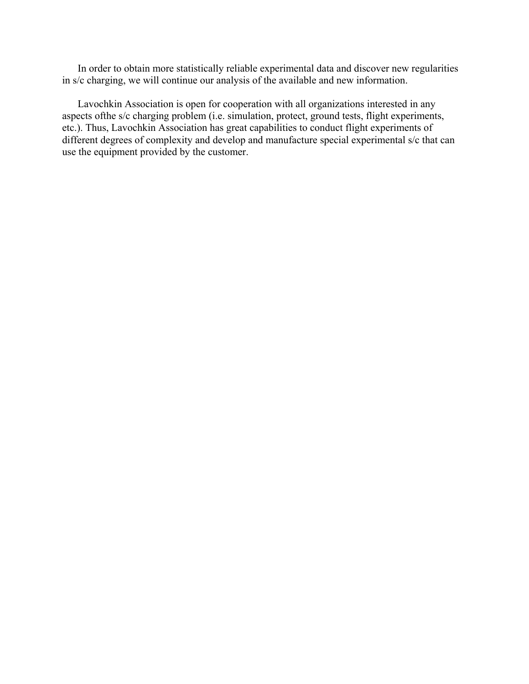In order to obtain more statistically reliable experimental data and discover new regularities in s/c charging, we will continue our analysis of the available and new information.

Lavochkin Association is open for cooperation with all organizations interested in any aspects ofthe s/c charging problem (i.e. simulation, protect, ground tests, flight experiments, etc.). Thus, Lavochkin Association has great capabilities to conduct flight experiments of different degrees of complexity and develop and manufacture special experimental s/c that can use the equipment provided by the customer.